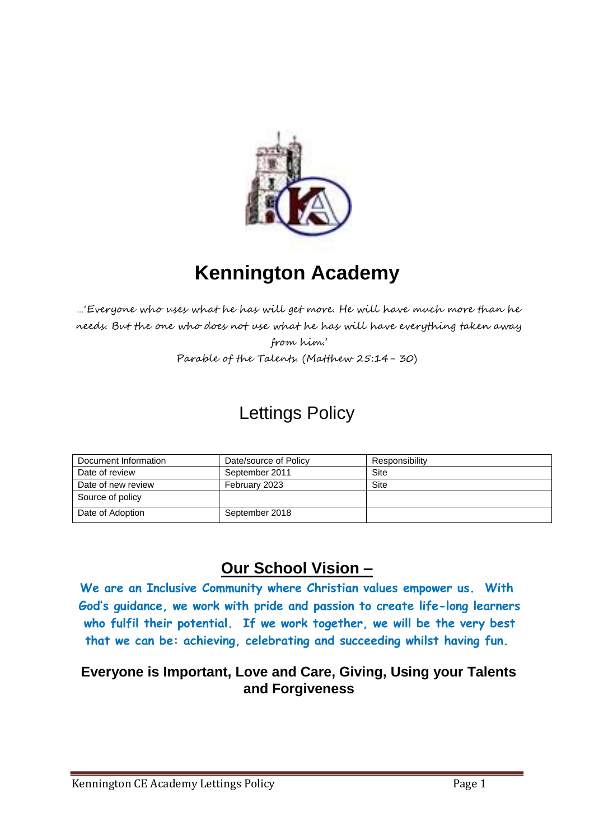

# **Kennington Academy**

…'Everyone who uses what he has will get more. He will have much more than he needs. But the one who does not use what he has will have everything taken away from him.' Parable of the Talents. (Matthew 25:14- 30)

## Lettings Policy

| Document Information | Date/source of Policy | Responsibility |
|----------------------|-----------------------|----------------|
| Date of review       | September 2011        | Site           |
| Date of new review   | February 2023         | Site           |
| Source of policy     |                       |                |
| Date of Adoption     | September 2018        |                |

## **Our School Vision –**

**We are an Inclusive Community where Christian values empower us. With God's guidance, we work with pride and passion to create life-long learners who fulfil their potential. If we work together, we will be the very best that we can be: achieving, celebrating and succeeding whilst having fun.** 

## **Everyone is Important, Love and Care, Giving, Using your Talents and Forgiveness**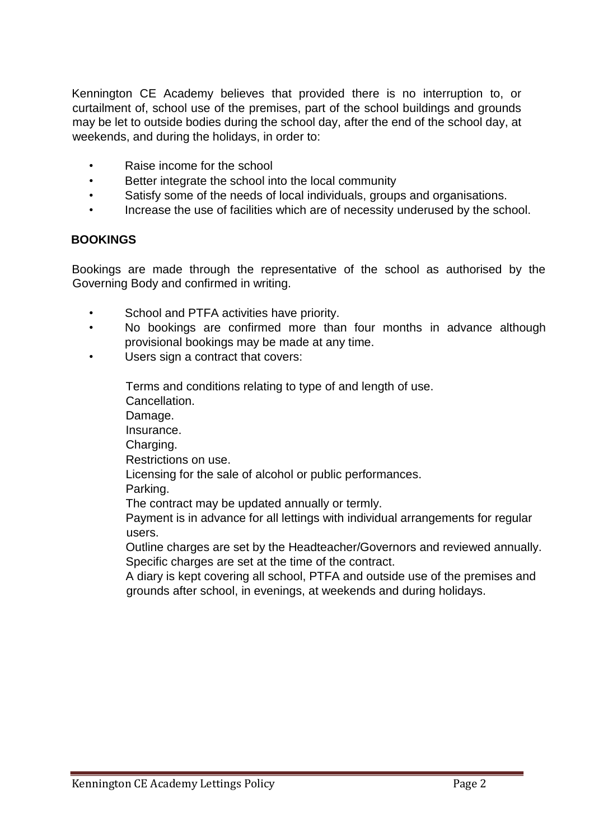Kennington CE Academy believes that provided there is no interruption to, or curtailment of, school use of the premises, part of the school buildings and grounds may be let to outside bodies during the school day, after the end of the school day, at weekends, and during the holidays, in order to:

- Raise income for the school
- Better integrate the school into the local community
- Satisfy some of the needs of local individuals, groups and organisations.
- Increase the use of facilities which are of necessity underused by the school.

#### **BOOKINGS**

Bookings are made through the representative of the school as authorised by the Governing Body and confirmed in writing.

- School and PTFA activities have priority.
- No bookings are confirmed more than four months in advance although provisional bookings may be made at any time.
- Users sign a contract that covers:

Terms and conditions relating to type of and length of use. Cancellation. Damage.

Insurance.

Charging.

Restrictions on use.

Licensing for the sale of alcohol or public performances.

Parking.

The contract may be updated annually or termly.

Payment is in advance for all lettings with individual arrangements for regular users.

Outline charges are set by the Headteacher/Governors and reviewed annually. Specific charges are set at the time of the contract.

A diary is kept covering all school, PTFA and outside use of the premises and grounds after school, in evenings, at weekends and during holidays.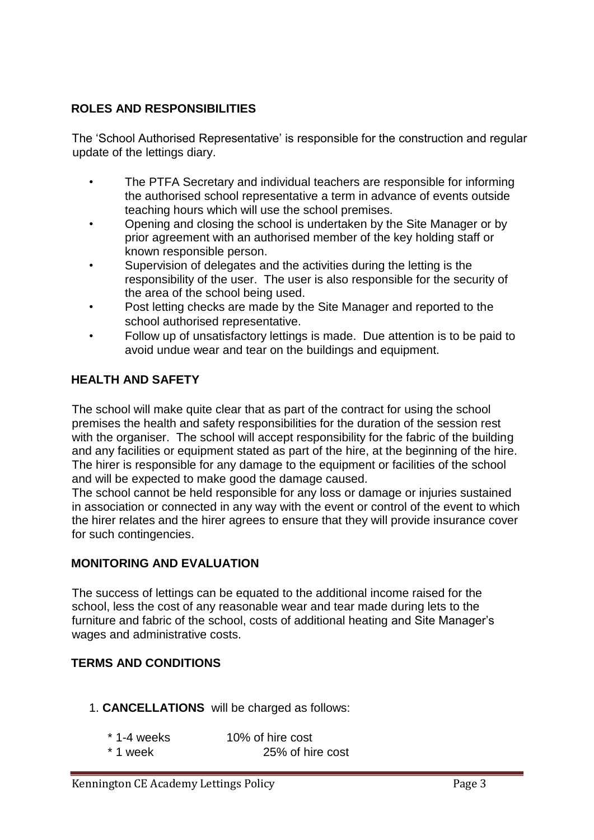## **ROLES AND RESPONSIBILITIES**

The 'School Authorised Representative' is responsible for the construction and regular update of the lettings diary.

- The PTFA Secretary and individual teachers are responsible for informing the authorised school representative a term in advance of events outside teaching hours which will use the school premises.
- Opening and closing the school is undertaken by the Site Manager or by prior agreement with an authorised member of the key holding staff or known responsible person.
- Supervision of delegates and the activities during the letting is the responsibility of the user. The user is also responsible for the security of the area of the school being used.
- Post letting checks are made by the Site Manager and reported to the school authorised representative.
- Follow up of unsatisfactory lettings is made. Due attention is to be paid to avoid undue wear and tear on the buildings and equipment.

## **HEALTH AND SAFETY**

The school will make quite clear that as part of the contract for using the school premises the health and safety responsibilities for the duration of the session rest with the organiser. The school will accept responsibility for the fabric of the building and any facilities or equipment stated as part of the hire, at the beginning of the hire. The hirer is responsible for any damage to the equipment or facilities of the school and will be expected to make good the damage caused.

The school cannot be held responsible for any loss or damage or injuries sustained in association or connected in any way with the event or control of the event to which the hirer relates and the hirer agrees to ensure that they will provide insurance cover for such contingencies.

### **MONITORING AND EVALUATION**

The success of lettings can be equated to the additional income raised for the school, less the cost of any reasonable wear and tear made during lets to the furniture and fabric of the school, costs of additional heating and Site Manager's wages and administrative costs.

## **TERMS AND CONDITIONS**

1. **CANCELLATIONS** will be charged as follows:

| * 1-4 weeks | 10% of hire cost |
|-------------|------------------|
| * 1 week    | 25% of hire cost |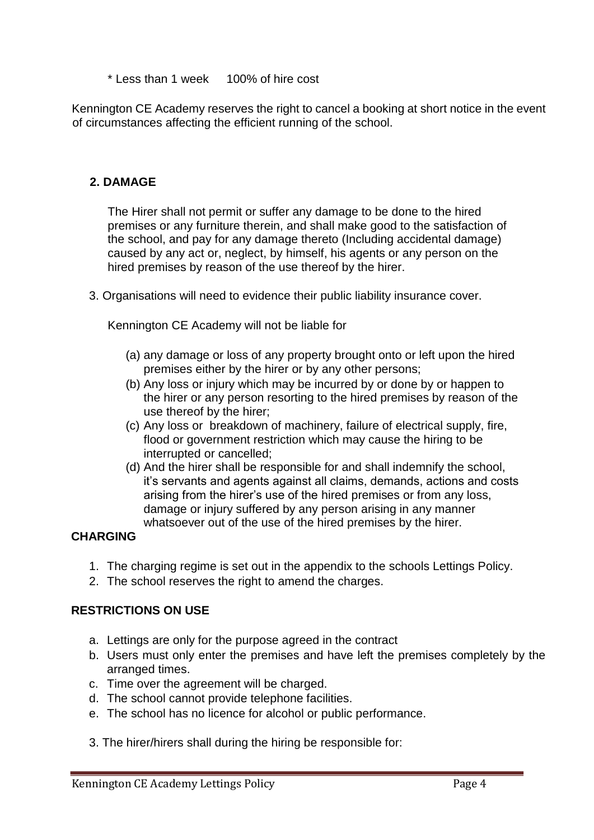\* Less than 1 week 100% of hire cost

Kennington CE Academy reserves the right to cancel a booking at short notice in the event of circumstances affecting the efficient running of the school.

## **2. DAMAGE**

The Hirer shall not permit or suffer any damage to be done to the hired premises or any furniture therein, and shall make good to the satisfaction of the school, and pay for any damage thereto (Including accidental damage) caused by any act or, neglect, by himself, his agents or any person on the hired premises by reason of the use thereof by the hirer.

3. Organisations will need to evidence their public liability insurance cover.

Kennington CE Academy will not be liable for

- (a) any damage or loss of any property brought onto or left upon the hired premises either by the hirer or by any other persons;
- (b) Any loss or injury which may be incurred by or done by or happen to the hirer or any person resorting to the hired premises by reason of the use thereof by the hirer;
- (c) Any loss or breakdown of machinery, failure of electrical supply, fire, flood or government restriction which may cause the hiring to be interrupted or cancelled;
- (d) And the hirer shall be responsible for and shall indemnify the school, it's servants and agents against all claims, demands, actions and costs arising from the hirer's use of the hired premises or from any loss, damage or injury suffered by any person arising in any manner whatsoever out of the use of the hired premises by the hirer.

### **CHARGING**

- 1. The charging regime is set out in the appendix to the schools Lettings Policy.
- 2. The school reserves the right to amend the charges.

### **RESTRICTIONS ON USE**

- a. Lettings are only for the purpose agreed in the contract
- b. Users must only enter the premises and have left the premises completely by the arranged times.
- c. Time over the agreement will be charged.
- d. The school cannot provide telephone facilities.
- e. The school has no licence for alcohol or public performance.
- 3. The hirer/hirers shall during the hiring be responsible for: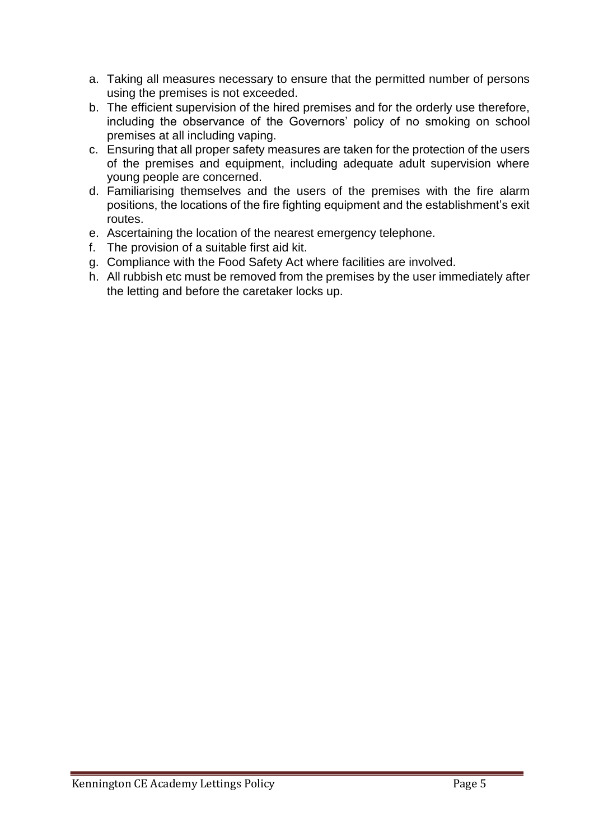- a. Taking all measures necessary to ensure that the permitted number of persons using the premises is not exceeded.
- b. The efficient supervision of the hired premises and for the orderly use therefore, including the observance of the Governors' policy of no smoking on school premises at all including vaping.
- c. Ensuring that all proper safety measures are taken for the protection of the users of the premises and equipment, including adequate adult supervision where young people are concerned.
- d. Familiarising themselves and the users of the premises with the fire alarm positions, the locations of the fire fighting equipment and the establishment's exit routes.
- e. Ascertaining the location of the nearest emergency telephone.
- f. The provision of a suitable first aid kit.
- g. Compliance with the Food Safety Act where facilities are involved.
- h. All rubbish etc must be removed from the premises by the user immediately after the letting and before the caretaker locks up.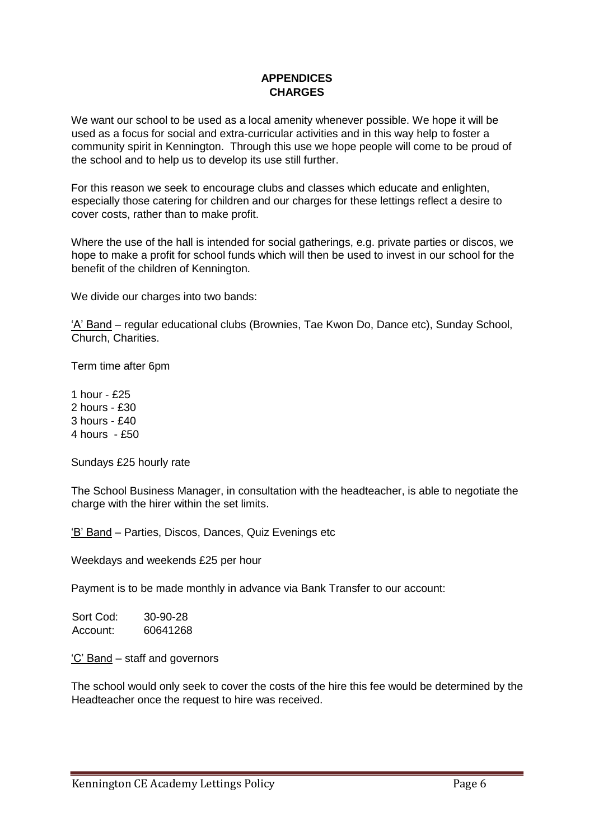#### **APPENDICES CHARGES**

We want our school to be used as a local amenity whenever possible. We hope it will be used as a focus for social and extra-curricular activities and in this way help to foster a community spirit in Kennington. Through this use we hope people will come to be proud of the school and to help us to develop its use still further.

For this reason we seek to encourage clubs and classes which educate and enlighten, especially those catering for children and our charges for these lettings reflect a desire to cover costs, rather than to make profit.

Where the use of the hall is intended for social gatherings, e.g. private parties or discos, we hope to make a profit for school funds which will then be used to invest in our school for the benefit of the children of Kennington.

We divide our charges into two bands:

'A' Band – regular educational clubs (Brownies, Tae Kwon Do, Dance etc), Sunday School, Church, Charities.

Term time after 6pm

 hour - £25 hours - £30 hours - £40 hours - £50

Sundays £25 hourly rate

The School Business Manager, in consultation with the headteacher, is able to negotiate the charge with the hirer within the set limits.

'B' Band – Parties, Discos, Dances, Quiz Evenings etc

Weekdays and weekends £25 per hour

Payment is to be made monthly in advance via Bank Transfer to our account:

Sort Cod: 30-90-28 Account: 60641268

'C' Band – staff and governors

The school would only seek to cover the costs of the hire this fee would be determined by the Headteacher once the request to hire was received.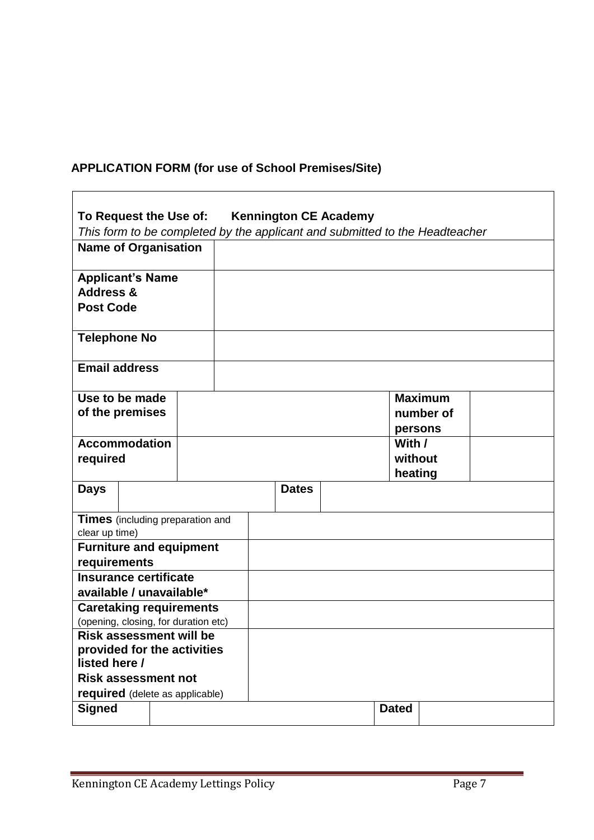## **APPLICATION FORM (for use of School Premises/Site)**

| To Request the Use of:<br><b>Kennington CE Academy</b>                      |  |  |  |  |              |  |              |                |  |
|-----------------------------------------------------------------------------|--|--|--|--|--------------|--|--------------|----------------|--|
| This form to be completed by the applicant and submitted to the Headteacher |  |  |  |  |              |  |              |                |  |
| <b>Name of Organisation</b>                                                 |  |  |  |  |              |  |              |                |  |
| <b>Applicant's Name</b>                                                     |  |  |  |  |              |  |              |                |  |
| <b>Address &amp;</b>                                                        |  |  |  |  |              |  |              |                |  |
| <b>Post Code</b>                                                            |  |  |  |  |              |  |              |                |  |
| <b>Telephone No</b>                                                         |  |  |  |  |              |  |              |                |  |
| <b>Email address</b>                                                        |  |  |  |  |              |  |              |                |  |
| Use to be made                                                              |  |  |  |  |              |  |              | <b>Maximum</b> |  |
| of the premises                                                             |  |  |  |  |              |  | number of    |                |  |
|                                                                             |  |  |  |  |              |  | persons      |                |  |
| <b>Accommodation</b>                                                        |  |  |  |  |              |  | With /       |                |  |
| required                                                                    |  |  |  |  |              |  | without      |                |  |
|                                                                             |  |  |  |  |              |  | heating      |                |  |
| <b>Days</b>                                                                 |  |  |  |  | <b>Dates</b> |  |              |                |  |
| <b>Times</b> (including preparation and                                     |  |  |  |  |              |  |              |                |  |
| clear up time)                                                              |  |  |  |  |              |  |              |                |  |
| <b>Furniture and equipment</b>                                              |  |  |  |  |              |  |              |                |  |
| requirements                                                                |  |  |  |  |              |  |              |                |  |
| <b>Insurance certificate</b>                                                |  |  |  |  |              |  |              |                |  |
| available / unavailable*                                                    |  |  |  |  |              |  |              |                |  |
| <b>Caretaking requirements</b>                                              |  |  |  |  |              |  |              |                |  |
| (opening, closing, for duration etc)                                        |  |  |  |  |              |  |              |                |  |
| <b>Risk assessment will be</b>                                              |  |  |  |  |              |  |              |                |  |
| provided for the activities<br>listed here /                                |  |  |  |  |              |  |              |                |  |
| <b>Risk assessment not</b>                                                  |  |  |  |  |              |  |              |                |  |
| required (delete as applicable)                                             |  |  |  |  |              |  |              |                |  |
| <b>Signed</b>                                                               |  |  |  |  |              |  | <b>Dated</b> |                |  |
|                                                                             |  |  |  |  |              |  |              |                |  |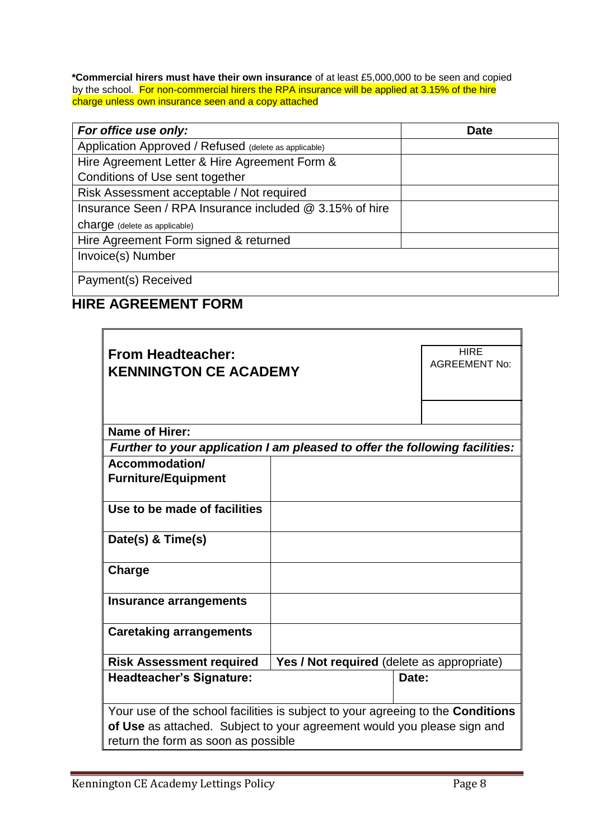**\*Commercial hirers must have their own insurance** of at least £5,000,000 to be seen and copied by the school. For non-commercial hirers the RPA insurance will be applied at 3.15% of the hire charge unless own insurance seen and a copy attached

| For office use only:                                    | <b>Date</b> |
|---------------------------------------------------------|-------------|
| Application Approved / Refused (delete as applicable)   |             |
| Hire Agreement Letter & Hire Agreement Form &           |             |
| Conditions of Use sent together                         |             |
| Risk Assessment acceptable / Not required               |             |
| Insurance Seen / RPA Insurance included @ 3.15% of hire |             |
| charge (delete as applicable)                           |             |
| Hire Agreement Form signed & returned                   |             |
| Invoice(s) Number                                       |             |
| Payment(s) Received                                     |             |

## **HIRE AGREEMENT FORM**

| <b>From Headteacher:</b>                                                        | <b>HIRE</b>                                |       |  |  |  |  |
|---------------------------------------------------------------------------------|--------------------------------------------|-------|--|--|--|--|
| <b>KENNINGTON CE ACADEMY</b>                                                    | <b>AGREEMENT No:</b>                       |       |  |  |  |  |
|                                                                                 |                                            |       |  |  |  |  |
|                                                                                 |                                            |       |  |  |  |  |
|                                                                                 |                                            |       |  |  |  |  |
| Name of Hirer:                                                                  |                                            |       |  |  |  |  |
| Further to your application I am pleased to offer the following facilities:     |                                            |       |  |  |  |  |
| Accommodation/                                                                  |                                            |       |  |  |  |  |
| <b>Furniture/Equipment</b>                                                      |                                            |       |  |  |  |  |
|                                                                                 |                                            |       |  |  |  |  |
| Use to be made of facilities                                                    |                                            |       |  |  |  |  |
|                                                                                 |                                            |       |  |  |  |  |
| Date(s) & Time(s)                                                               |                                            |       |  |  |  |  |
|                                                                                 |                                            |       |  |  |  |  |
| Charge                                                                          |                                            |       |  |  |  |  |
|                                                                                 |                                            |       |  |  |  |  |
| Insurance arrangements                                                          |                                            |       |  |  |  |  |
|                                                                                 |                                            |       |  |  |  |  |
| <b>Caretaking arrangements</b>                                                  |                                            |       |  |  |  |  |
|                                                                                 |                                            |       |  |  |  |  |
| <b>Risk Assessment required</b>                                                 | Yes / Not required (delete as appropriate) |       |  |  |  |  |
| <b>Headteacher's Signature:</b>                                                 |                                            | Date: |  |  |  |  |
|                                                                                 |                                            |       |  |  |  |  |
| Your use of the school facilities is subject to your agreeing to the Conditions |                                            |       |  |  |  |  |
| of Use as attached. Subject to your agreement would you please sign and         |                                            |       |  |  |  |  |
| return the form as soon as possible                                             |                                            |       |  |  |  |  |
|                                                                                 |                                            |       |  |  |  |  |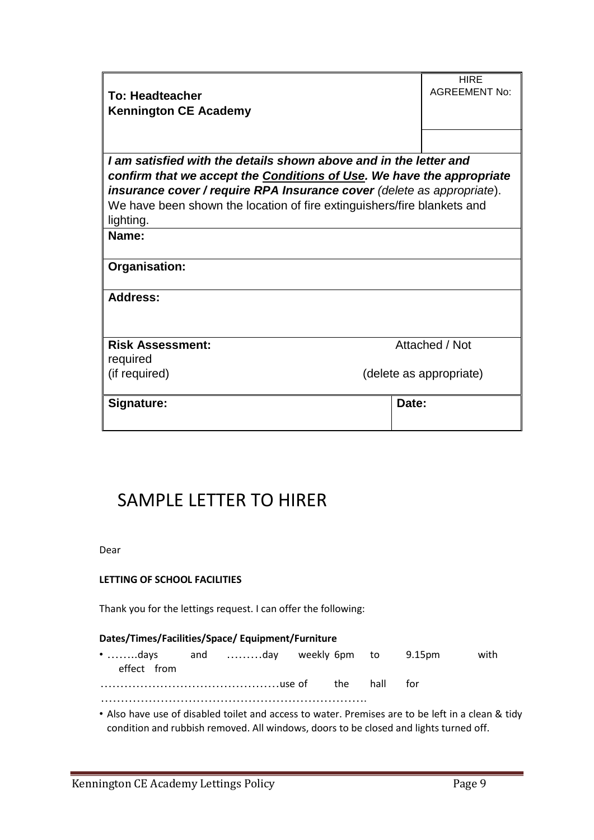| <b>To: Headteacher</b><br><b>Kennington CE Academy</b>                                                                                                                                                                                                                                                       | <b>HIRE</b><br>AGREEMENT No: |  |  |  |  |  |  |
|--------------------------------------------------------------------------------------------------------------------------------------------------------------------------------------------------------------------------------------------------------------------------------------------------------------|------------------------------|--|--|--|--|--|--|
|                                                                                                                                                                                                                                                                                                              |                              |  |  |  |  |  |  |
| I am satisfied with the details shown above and in the letter and<br>confirm that we accept the Conditions of Use. We have the appropriate<br>insurance cover / require RPA Insurance cover (delete as appropriate).<br>We have been shown the location of fire extinguishers/fire blankets and<br>lighting. |                              |  |  |  |  |  |  |
| Name:                                                                                                                                                                                                                                                                                                        |                              |  |  |  |  |  |  |
| Organisation:                                                                                                                                                                                                                                                                                                |                              |  |  |  |  |  |  |
| <b>Address:</b>                                                                                                                                                                                                                                                                                              |                              |  |  |  |  |  |  |
| <b>Risk Assessment:</b>                                                                                                                                                                                                                                                                                      | Attached / Not               |  |  |  |  |  |  |
| required<br>(if required)                                                                                                                                                                                                                                                                                    | (delete as appropriate)      |  |  |  |  |  |  |
| Signature:                                                                                                                                                                                                                                                                                                   | Date:                        |  |  |  |  |  |  |

## SAMPLE LETTER TO HIRER

Dear

#### **LETTING OF SCHOOL FACILITIES**

Thank you for the lettings request. I can offer the following:

#### **Dates/Times/Facilities/Space/ Equipment/Furniture**

| • days and day weekly 6pm to 9.15pm |  |  |  | with |
|-------------------------------------|--|--|--|------|
| effect from                         |  |  |  |      |
|                                     |  |  |  |      |
|                                     |  |  |  |      |

• Also have use of disabled toilet and access to water. Premises are to be left in a clean & tidy condition and rubbish removed. All windows, doors to be closed and lights turned off.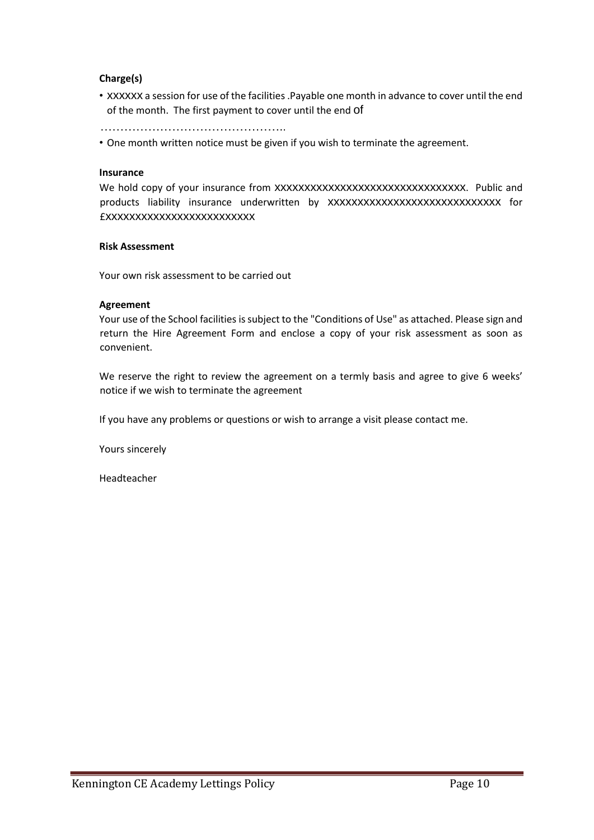#### **Charge(s)**

• xxxxxx a session for use of the facilities .Payable one month in advance to cover until the end of the month. The first payment to cover until the end of

………………………………………..

• One month written notice must be given if you wish to terminate the agreement.

#### **Insurance**

We hold copy of your insurance from xxxxxxxxxxxxxxxxxxxxxxxxxxxxxxxx. Public and products liability insurance underwritten by XXXXXXXXXXXXXXXXXXXXXXXXXXXX for £xxxxxxxxxxxxxxxxxxxxxxxxx

#### **Risk Assessment**

Your own risk assessment to be carried out

#### **Agreement**

Your use of the School facilities is subject to the "Conditions of Use" as attached. Please sign and return the Hire Agreement Form and enclose a copy of your risk assessment as soon as convenient.

We reserve the right to review the agreement on a termly basis and agree to give 6 weeks' notice if we wish to terminate the agreement

If you have any problems or questions or wish to arrange a visit please contact me.

Yours sincerely

Headteacher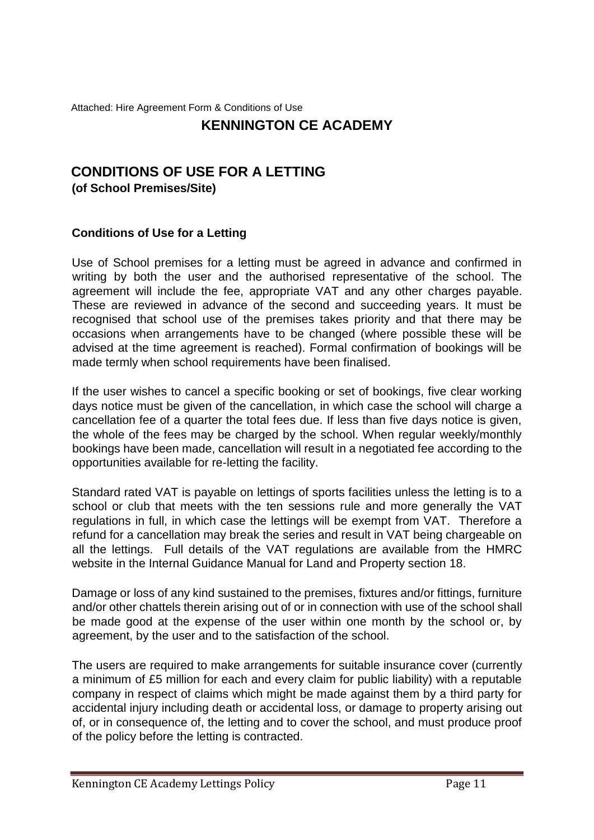Attached: Hire Agreement Form & Conditions of Use

## **KENNINGTON CE ACADEMY**

## **CONDITIONS OF USE FOR A LETTING (of School Premises/Site)**

#### **Conditions of Use for a Letting**

Use of School premises for a letting must be agreed in advance and confirmed in writing by both the user and the authorised representative of the school. The agreement will include the fee, appropriate VAT and any other charges payable. These are reviewed in advance of the second and succeeding years. It must be recognised that school use of the premises takes priority and that there may be occasions when arrangements have to be changed (where possible these will be advised at the time agreement is reached). Formal confirmation of bookings will be made termly when school requirements have been finalised.

If the user wishes to cancel a specific booking or set of bookings, five clear working days notice must be given of the cancellation, in which case the school will charge a cancellation fee of a quarter the total fees due. If less than five days notice is given, the whole of the fees may be charged by the school. When regular weekly/monthly bookings have been made, cancellation will result in a negotiated fee according to the opportunities available for re-letting the facility.

Standard rated VAT is payable on lettings of sports facilities unless the letting is to a school or club that meets with the ten sessions rule and more generally the VAT regulations in full, in which case the lettings will be exempt from VAT. Therefore a refund for a cancellation may break the series and result in VAT being chargeable on all the lettings. Full details of the VAT regulations are available from the HMRC website in the Internal Guidance Manual for Land and Property section 18.

Damage or loss of any kind sustained to the premises, fixtures and/or fittings, furniture and/or other chattels therein arising out of or in connection with use of the school shall be made good at the expense of the user within one month by the school or, by agreement, by the user and to the satisfaction of the school.

The users are required to make arrangements for suitable insurance cover (currently a minimum of £5 million for each and every claim for public liability) with a reputable company in respect of claims which might be made against them by a third party for accidental injury including death or accidental loss, or damage to property arising out of, or in consequence of, the letting and to cover the school, and must produce proof of the policy before the letting is contracted.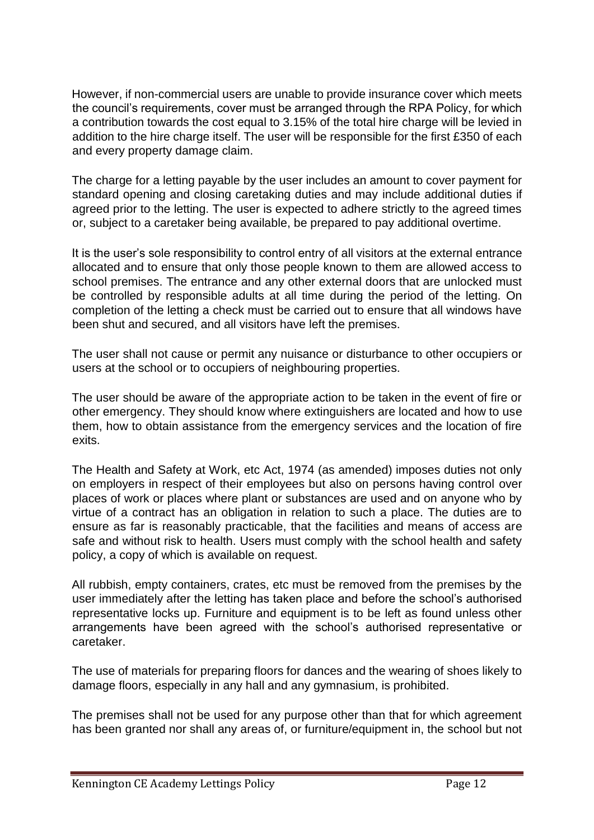However, if non-commercial users are unable to provide insurance cover which meets the council's requirements, cover must be arranged through the RPA Policy, for which a contribution towards the cost equal to 3.15% of the total hire charge will be levied in addition to the hire charge itself. The user will be responsible for the first £350 of each and every property damage claim.

The charge for a letting payable by the user includes an amount to cover payment for standard opening and closing caretaking duties and may include additional duties if agreed prior to the letting. The user is expected to adhere strictly to the agreed times or, subject to a caretaker being available, be prepared to pay additional overtime.

It is the user's sole responsibility to control entry of all visitors at the external entrance allocated and to ensure that only those people known to them are allowed access to school premises. The entrance and any other external doors that are unlocked must be controlled by responsible adults at all time during the period of the letting. On completion of the letting a check must be carried out to ensure that all windows have been shut and secured, and all visitors have left the premises.

The user shall not cause or permit any nuisance or disturbance to other occupiers or users at the school or to occupiers of neighbouring properties.

The user should be aware of the appropriate action to be taken in the event of fire or other emergency. They should know where extinguishers are located and how to use them, how to obtain assistance from the emergency services and the location of fire exits.

The Health and Safety at Work, etc Act, 1974 (as amended) imposes duties not only on employers in respect of their employees but also on persons having control over places of work or places where plant or substances are used and on anyone who by virtue of a contract has an obligation in relation to such a place. The duties are to ensure as far is reasonably practicable, that the facilities and means of access are safe and without risk to health. Users must comply with the school health and safety policy, a copy of which is available on request.

All rubbish, empty containers, crates, etc must be removed from the premises by the user immediately after the letting has taken place and before the school's authorised representative locks up. Furniture and equipment is to be left as found unless other arrangements have been agreed with the school's authorised representative or caretaker.

The use of materials for preparing floors for dances and the wearing of shoes likely to damage floors, especially in any hall and any gymnasium, is prohibited.

The premises shall not be used for any purpose other than that for which agreement has been granted nor shall any areas of, or furniture/equipment in, the school but not